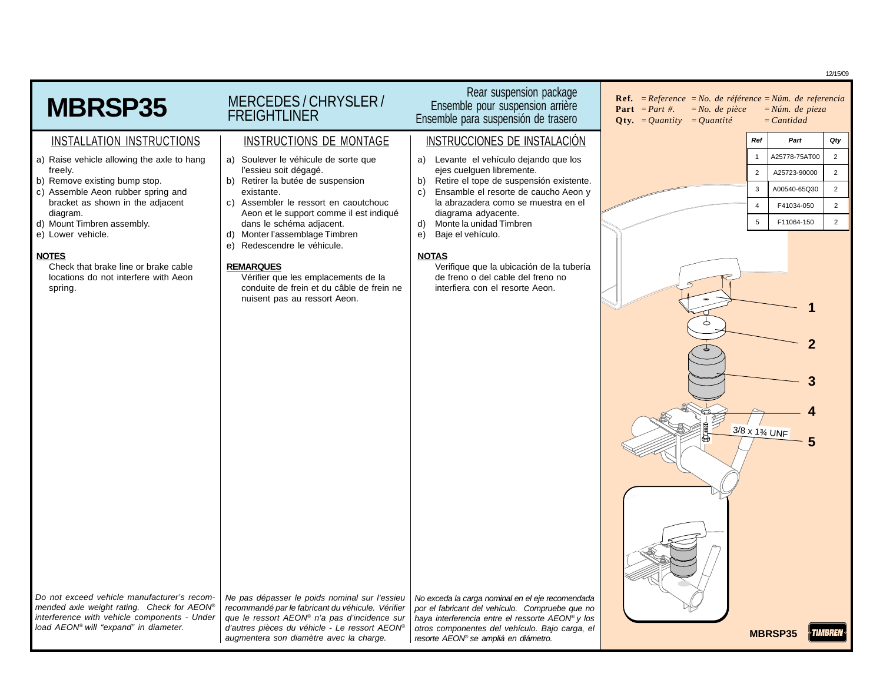12/15/09 Rear suspension package MERCEDES / CHRYSLER / **Ref***. = Reference =No. de référence = Núm. de referencia* **MBRSP35** Ensemble pour suspension arrière **Part** *= Part #. = No. de pièce = Núm. de pieza* **FREIGHTLINER** Ensemble para suspensión de trasero  $Qty. = Quantity = Quantity = 1$ INSTALLATION INSTRUCTIONS | INSTRUCTIONS DE MONTAGE | INSTRUCCIONES DE INSTALACIÓN **Ref Part Qty** 1 A25778-75AT00 2 a) Raise vehicle allowing the axle to hang a) Soulever le véhicule de sorte que a) Levante el vehículo dejando que los freely. l'essieu soit dégagé. ejes cuelguen libremente. 2 A25723-90000 2 b) Retirer la butée de suspension b) Retire el tope de suspensión existente. b) Remove existing bump stop. 3 A00540-65Q30 2 c) Assemble Aeon rubber spring and c) Ensamble el resorte de caucho Aeon y existante. bracket as shown in the adjacent c) Assembler le ressort en caoutchouc la abrazadera como se muestra en el 4 F41034-050 2 diagram. Aeon et le support comme il est indiqué diagrama adyacente.  $5 \mid 511064 - 150 \mid 2$ d) Mount Timbren assembly. dans le schéma adjacent. d) Monte la unidad Timbren e) Lower vehicle. d) Monter l'assemblage Timbren e) Baje el vehículo. e) Redescendre le véhicule. **NOTES NOTAS REMARQUES** Check that brake line or brake cable Verifique que la ubicación de la tubería locations do not interfere with Aeon Vérifier que les emplacements de la de freno o del cable del freno no spring. conduite de frein et du câble de frein ne interfiera con el resorte Aeon. nuisent pas au ressort Aeon. **1 2 3 4** 3/8 x 1¾ UNF **5** Do not exceed vehicle manufacturer's recom-Ne pas dépasser le poids nominal sur l'essieu No exceda la carga nominal en el eje recomendada recommandé par le fabricant du véhicule. Vérifier mended axle weight rating. Check for AEON® por el fabricant del vehículo. Compruebe que no interference with vehicle components - Under que le ressort AEON® n'a pas d'incidence sur haya interferencia entre el ressorte AEON® y los load AEON® will "expand" in diameter. d'autres pièces du véhicle - Le ressort AEON® otros componentes del vehículo. Bajo carga, el **MBRSP35 TIMBREN** augmentera son diamètre avec la charge. resorte AEON® se ampliá en diámetro.